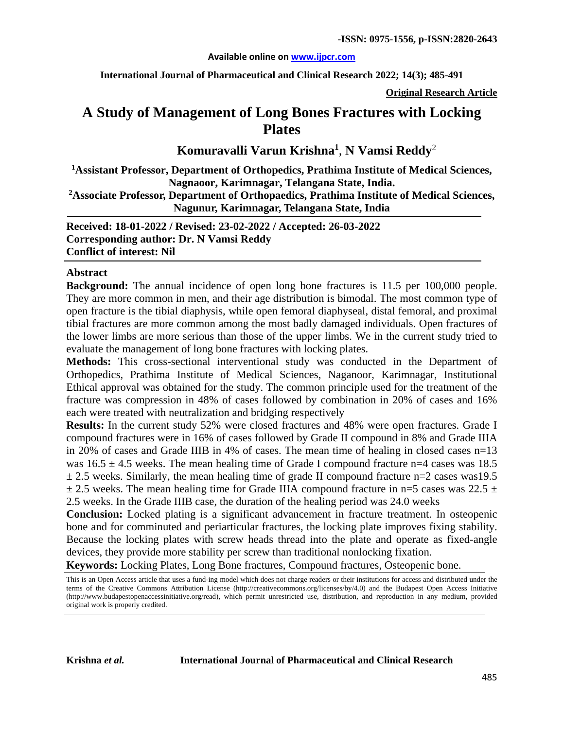#### **Available online on [www.ijpcr.com](pack://file%3a,,root,data,user,0,com.picsel.tgv.app.smartoffice,files,.tmpint,ce900c6c-2ed9-43a5-a684-30b339083e0d.docx/customXml/item1.xml)**

**International Journal of Pharmaceutical and Clinical Research 2022; 14(3); 485-491**

**Original Research Article**

# **A Study of Management of Long Bones Fractures with Locking Plates**

**Komuravalli Varun Krishna<sup>1</sup>** , **N Vamsi Reddy**<sup>2</sup>

**1 Assistant Professor, Department of Orthopedics, Prathima Institute of Medical Sciences, Nagnaoor, Karimnagar, Telangana State, India.**

**2 Associate Professor, Department of Orthopaedics, Prathima Institute of Medical Sciences, Nagunur, Karimnagar, Telangana State, India**

**Received: 18-01-2022 / Revised: 23-02-2022 / Accepted: 26-03-2022 Corresponding author: Dr. N Vamsi Reddy Conflict of interest: Nil**

#### **Abstract**

**Background:** The annual incidence of open long bone fractures is 11.5 per 100,000 people. They are more common in men, and their age distribution is bimodal. The most common type of open fracture is the tibial diaphysis, while open femoral diaphyseal, distal femoral, and proximal tibial fractures are more common among the most badly damaged individuals. Open fractures of the lower limbs are more serious than those of the upper limbs. We in the current study tried to evaluate the management of long bone fractures with locking plates.

**Methods:** This cross-sectional interventional study was conducted in the Department of Orthopedics, Prathima Institute of Medical Sciences, Naganoor, Karimnagar, Institutional Ethical approval was obtained for the study. The common principle used for the treatment of the fracture was compression in 48% of cases followed by combination in 20% of cases and 16% each were treated with neutralization and bridging respectively

**Results:** In the current study 52% were closed fractures and 48% were open fractures. Grade I compound fractures were in 16% of cases followed by Grade II compound in 8% and Grade IIIA in 20% of cases and Grade IIIB in 4% of cases. The mean time of healing in closed cases n=13 was  $16.5 \pm 4.5$  weeks. The mean healing time of Grade I compound fracture n=4 cases was 18.5  $\pm$  2.5 weeks. Similarly, the mean healing time of grade II compound fracture n=2 cases was19.5  $\pm$  2.5 weeks. The mean healing time for Grade IIIA compound fracture in n=5 cases was 22.5  $\pm$ 2.5 weeks. In the Grade IIIB case, the duration of the healing period was 24.0 weeks

**Conclusion:** Locked plating is a significant advancement in fracture treatment. In osteopenic bone and for comminuted and periarticular fractures, the locking plate improves fixing stability. Because the locking plates with screw heads thread into the plate and operate as fixed-angle devices, they provide more stability per screw than traditional nonlocking fixation.

**Keywords:** Locking Plates, Long Bone fractures, Compound fractures, Osteopenic bone.

This is an Open Access article that uses a fund-ing model which does not charge readers or their institutions for access and distributed under the terms of the Creative Commons Attribution License (http://creativecommons.org/licenses/by/4.0) and the Budapest Open Access Initiative (http://www.budapestopenaccessinitiative.org/read), which permit unrestricted use, distribution, and reproduction in any medium, provided original work is properly credited.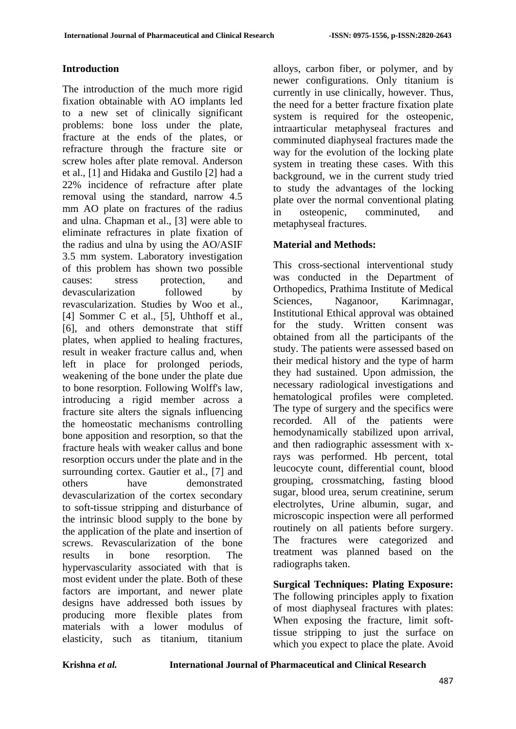### **Introduction**

The introduction of the much more rigid fixation obtainable with AO implants led to a new set of clinically significant problems: bone loss under the plate, fracture at the ends of the plates, or refracture through the fracture site or screw holes after plate removal. Anderson et al., [1] and Hidaka and Gustilo [2] had a 22% incidence of refracture after plate removal using the standard, narrow 4.5 mm AO plate on fractures of the radius and ulna. Chapman et al., [3] were able to eliminate refractures in plate fixation of the radius and ulna by using the AO/ASIF 3.5 mm system. Laboratory investigation of this problem has shown two possible causes: stress protection, and devascularization followed by revascularization. Studies by Woo et al., [4] Sommer C et al., [5], Uhthoff et al., [6], and others demonstrate that stiff plates, when applied to healing fractures, result in weaker fracture callus and, when left in place for prolonged periods, weakening of the bone under the plate due to bone resorption. Following Wolff's law, introducing a rigid member across a fracture site alters the signals influencing the homeostatic mechanisms controlling bone apposition and resorption, so that the fracture heals with weaker callus and bone resorption occurs under the plate and in the surrounding cortex. Gautier et al., [7] and others have demonstrated devascularization of the cortex secondary to soft-tissue stripping and disturbance of the intrinsic blood supply to the bone by the application of the plate and insertion of screws. Revascularization of the bone results in bone resorption. The hypervascularity associated with that is most evident under the plate. Both of these factors are important, and newer plate designs have addressed both issues by producing more flexible plates from materials with a lower modulus of elasticity, such as titanium, titanium

alloys, carbon fiber, or polymer, and by newer configurations. Only titanium is currently in use clinically, however. Thus, the need for a better fracture fixation plate system is required for the osteopenic, intraarticular metaphyseal fractures and comminuted diaphyseal fractures made the way for the evolution of the locking plate system in treating these cases. With this background, we in the current study tried to study the advantages of the locking plate over the normal conventional plating in osteopenic, comminuted, and metaphyseal fractures.

### **Material and Methods:**

This cross-sectional interventional study was conducted in the Department of Orthopedics, Prathima Institute of Medical Sciences, Naganoor, Karimnagar, Institutional Ethical approval was obtained for the study. Written consent was obtained from all the participants of the study. The patients were assessed based on their medical history and the type of harm they had sustained. Upon admission, the necessary radiological investigations and hematological profiles were completed. The type of surgery and the specifics were recorded. All of the patients were hemodynamically stabilized upon arrival, and then radiographic assessment with xrays was performed. Hb percent, total leucocyte count, differential count, blood grouping, crossmatching, fasting blood sugar, blood urea, serum creatinine, serum electrolytes, Urine albumin, sugar, and microscopic inspection were all performed routinely on all patients before surgery. The fractures were categorized and treatment was planned based on the radiographs taken.

**Surgical Techniques: Plating Exposure:** The following principles apply to fixation of most diaphyseal fractures with plates: When exposing the fracture, limit softtissue stripping to just the surface on which you expect to place the plate. Avoid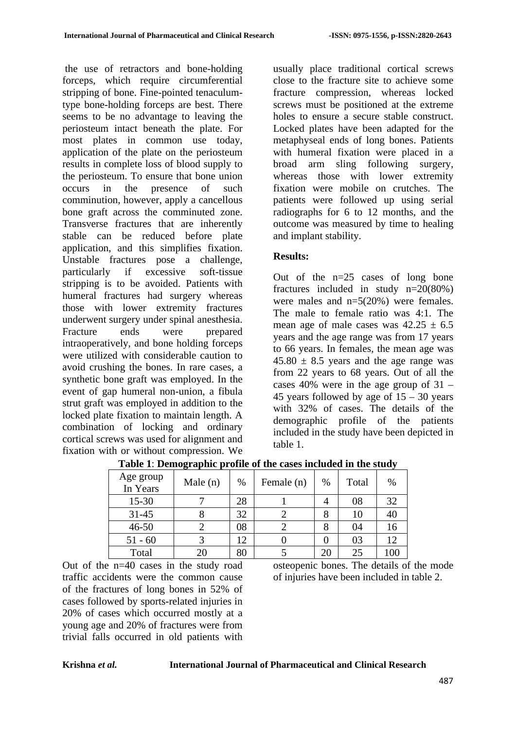the use of retractors and bone-holding forceps, which require circumferential stripping of bone. Fine-pointed tenaculumtype bone-holding forceps are best. There seems to be no advantage to leaving the periosteum intact beneath the plate. For most plates in common use today, application of the plate on the periosteum results in complete loss of blood supply to the periosteum. To ensure that bone union occurs in the presence of such comminution, however, apply a cancellous bone graft across the comminuted zone. Transverse fractures that are inherently stable can be reduced before plate application, and this simplifies fixation. Unstable fractures pose a challenge, particularly if excessive soft-tissue stripping is to be avoided. Patients with humeral fractures had surgery whereas those with lower extremity fractures underwent surgery under spinal anesthesia. Fracture ends were prepared intraoperatively, and bone holding forceps were utilized with considerable caution to avoid crushing the bones. In rare cases, a synthetic bone graft was employed. In the event of gap humeral non-union, a fibula strut graft was employed in addition to the locked plate fixation to maintain length. A combination of locking and ordinary cortical screws was used for alignment and fixation with or without compression. We

usually place traditional cortical screws close to the fracture site to achieve some fracture compression, whereas locked screws must be positioned at the extreme holes to ensure a secure stable construct. Locked plates have been adapted for the metaphyseal ends of long bones. Patients with humeral fixation were placed in a broad arm sling following surgery, whereas those with lower extremity fixation were mobile on crutches. The patients were followed up using serial radiographs for 6 to 12 months, and the outcome was measured by time to healing and implant stability.

#### **Results:**

Out of the n=25 cases of long bone fractures included in study  $n=20(80%)$ were males and  $n=5(20%)$  were females. The male to female ratio was 4:1. The mean age of male cases was  $42.25 \pm 6.5$ years and the age range was from 17 years to 66 years. In females, the mean age was  $45.80 \pm 8.5$  years and the age range was from 22 years to 68 years. Out of all the cases  $40\%$  were in the age group of  $31 -$ 45 years followed by age of  $15 - 30$  years with 32% of cases. The details of the demographic profile of the patients included in the study have been depicted in table 1.

| Age group<br>In Years | Male $(n)$ | $\%$ | Female (n) | %  | Total | %   |
|-----------------------|------------|------|------------|----|-------|-----|
| $15 - 30$             |            | 28   |            |    | 08    | 32  |
| $31 - 45$             |            | 32   |            |    | 10    | 40  |
| $46 - 50$             |            | 08   |            |    | 04    | 16  |
| $51 - 60$             |            | 12   |            |    | 03    | 12  |
| Total                 | 20         | 80   |            | 20 | 25    | 10C |

**Table 1**: **Demographic profile of the cases included in the study**

Out of the n=40 cases in the study road traffic accidents were the common cause of the fractures of long bones in 52% of cases followed by sports-related injuries in 20% of cases which occurred mostly at a young age and 20% of fractures were from trivial falls occurred in old patients with

osteopenic bones. The details of the mode of injuries have been included in table 2.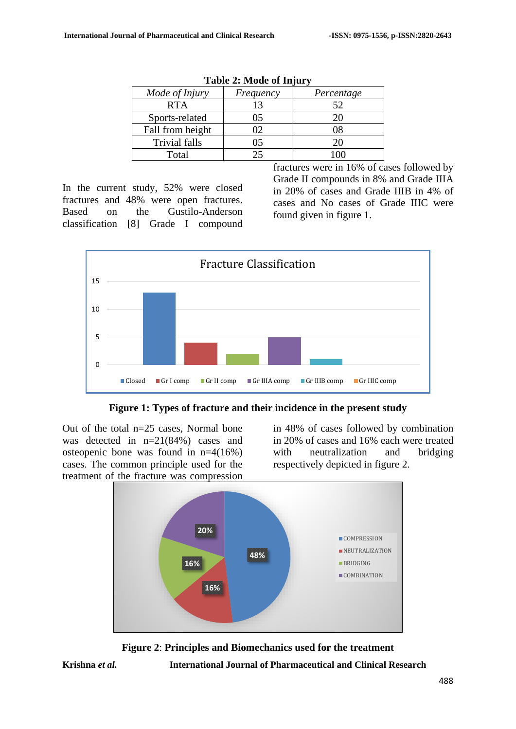|                      |           | $\cdot$    |
|----------------------|-----------|------------|
| Mode of Injury       | Frequency | Percentage |
| <b>RTA</b>           | 13        | 52         |
| Sports-related       | 05        |            |
| Fall from height     |           |            |
| <b>Trivial falls</b> | 05        |            |
| Total                |           |            |

| <b>Table 2: Mode of Injury</b> |
|--------------------------------|
|--------------------------------|

In the current study, 52% were closed fractures and 48% were open fractures. Based on the Gustilo-Anderson classification [8] Grade I compound

fractures were in 16% of cases followed by Grade II compounds in 8% and Grade IIIA in 20% of cases and Grade IIIB in 4% of cases and No cases of Grade IIIC were found given in figure 1.



**Figure 1: Types of fracture and their incidence in the present study**

Out of the total n=25 cases, Normal bone was detected in n=21(84%) cases and osteopenic bone was found in n=4(16%) cases. The common principle used for the treatment of the fracture was compression

in 48% of cases followed by combination in 20% of cases and 16% each were treated with neutralization and bridging respectively depicted in figure 2.





**Krishna** *et al.* **International Journal of Pharmaceutical and Clinical Research**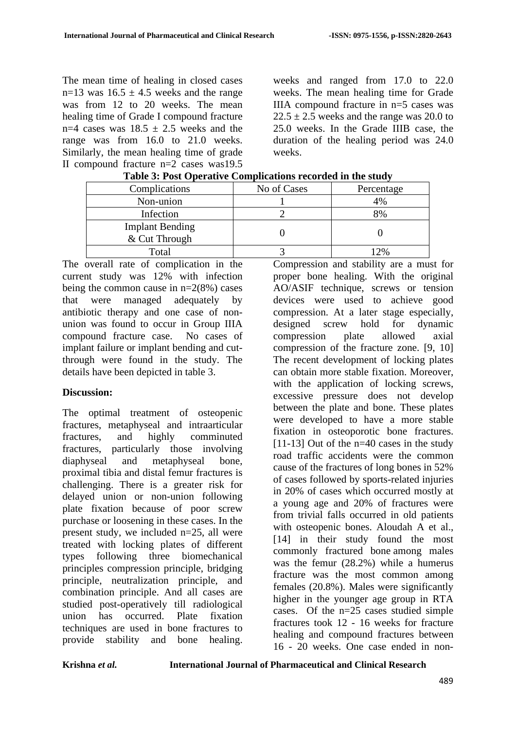The mean time of healing in closed cases n=13 was  $16.5 \pm 4.5$  weeks and the range was from 12 to 20 weeks. The mean healing time of Grade I compound fracture n=4 cases was  $18.5 \pm 2.5$  weeks and the range was from 16.0 to 21.0 weeks. Similarly, the mean healing time of grade II compound fracture n=2 cases was19.5

weeks and ranged from 17.0 to 22.0 weeks. The mean healing time for Grade IIIA compound fracture in  $n=5$  cases was  $22.5 \pm 2.5$  weeks and the range was 20.0 to 25.0 weeks. In the Grade IIIB case, the duration of the healing period was 24.0 weeks.

| Tuble of 1 one operative complications recorded in the state, |             |            |  |  |  |  |
|---------------------------------------------------------------|-------------|------------|--|--|--|--|
| Complications                                                 | No of Cases | Percentage |  |  |  |  |
| Non-union                                                     |             | 4%         |  |  |  |  |
| Infection                                                     |             | 8%         |  |  |  |  |
| <b>Implant Bending</b><br>& Cut Through                       |             |            |  |  |  |  |
| Total                                                         |             | 2%         |  |  |  |  |

**Table 3: Post Operative Complications recorded in the study**

The overall rate of complication in the current study was 12% with infection being the common cause in  $n=2(8%)$  cases that were managed adequately by antibiotic therapy and one case of nonunion was found to occur in Group IIIA compound fracture case. No cases of implant failure or implant bending and cutthrough were found in the study. The details have been depicted in table 3.

#### **Discussion:**

The optimal treatment of osteopenic fractures, metaphyseal and intraarticular fractures, and highly comminuted fractures, particularly those involving diaphyseal and metaphyseal bone, proximal tibia and distal femur fractures is challenging. There is a greater risk for delayed union or non-union following plate fixation because of poor screw purchase or loosening in these cases. In the present study, we included n=25, all were treated with locking plates of different types following three biomechanical principles compression principle, bridging principle, neutralization principle, and combination principle. And all cases are studied post-operatively till radiological union has occurred. Plate fixation techniques are used in bone fractures to provide stability and bone healing.

Compression and stability are a must for proper bone healing. With the original AO/ASIF technique, screws or tension devices were used to achieve good compression. At a later stage especially, designed screw hold for dynamic compression plate allowed axial compression of the fracture zone. [9, 10] The recent development of locking plates can obtain more stable fixation. Moreover, with the application of locking screws, excessive pressure does not develop between the plate and bone. These plates were developed to have a more stable fixation in osteoporotic bone fractures.  $[11-13]$  Out of the n=40 cases in the study road traffic accidents were the common cause of the fractures of long bones in 52% of cases followed by sports-related injuries in 20% of cases which occurred mostly at a young age and 20% of fractures were from trivial falls occurred in old patients with osteopenic bones. Aloudah A et al., [14] in their study found the most commonly fractured bone among males was the femur (28.2%) while a humerus fracture was the most common among females (20.8%). Males were significantly higher in the younger age group in RTA cases. Of the n=25 cases studied simple fractures took 12 - 16 weeks for fracture healing and compound fractures between 16 - 20 weeks. One case ended in non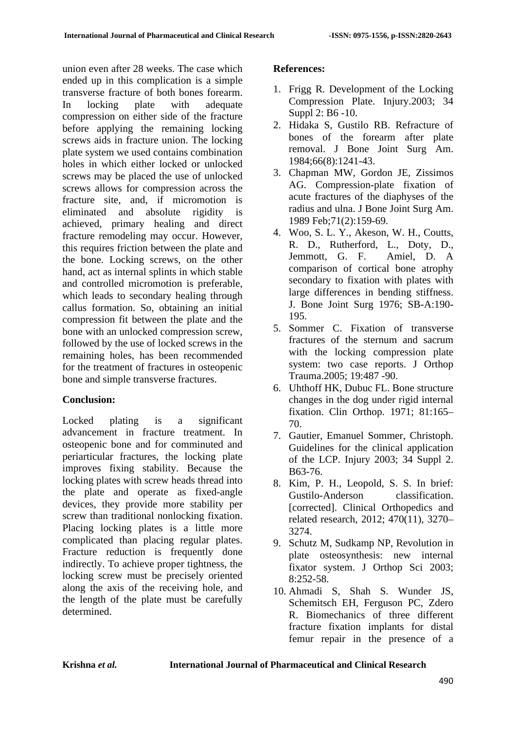union even after 28 weeks. The case which ended up in this complication is a simple transverse fracture of both bones forearm. In locking plate with adequate compression on either side of the fracture before applying the remaining locking screws aids in fracture union. The locking plate system we used contains combination holes in which either locked or unlocked screws may be placed the use of unlocked screws allows for compression across the fracture site, and, if micromotion is eliminated and absolute rigidity is achieved, primary healing and direct fracture remodeling may occur. However, this requires friction between the plate and the bone. Locking screws, on the other hand, act as internal splints in which stable and controlled micromotion is preferable, which leads to secondary healing through callus formation. So, obtaining an initial compression fit between the plate and the bone with an unlocked compression screw, followed by the use of locked screws in the remaining holes, has been recommended for the treatment of fractures in osteopenic bone and simple transverse fractures.

## **Conclusion:**

Locked plating is a significant advancement in fracture treatment. In osteopenic bone and for comminuted and periarticular fractures, the locking plate improves fixing stability. Because the locking plates with screw heads thread into the plate and operate as fixed-angle devices, they provide more stability per screw than traditional nonlocking fixation. Placing locking plates is a little more complicated than placing regular plates. Fracture reduction is frequently done indirectly. To achieve proper tightness, the locking screw must be precisely oriented along the axis of the receiving hole, and the length of the plate must be carefully determined.

## **References:**

- 1. Frigg R. Development of the Locking Compression Plate. Injury.2003; 34 Suppl 2: B6 -10.
- 2. Hidaka S, Gustilo RB. Refracture of bones of the forearm after plate removal. J Bone Joint Surg Am. 1984;66(8):1241-43.
- 3. Chapman MW, Gordon JE, Zissimos AG. Compression-plate fixation of acute fractures of the diaphyses of the radius and ulna. J Bone Joint Surg Am. 1989 Feb;71(2):159-69.
- 4. Woo, S. L. Y., Akeson, W. H., Coutts, R. D., Rutherford, L., Doty, D., Jemmott, G. F. Amiel, D. A comparison of cortical bone atrophy secondary to fixation with plates with large differences in bending stiffness. J. Bone Joint Surg 1976; SB-A:190- 195.
- 5. Sommer C. Fixation of transverse fractures of the sternum and sacrum with the locking compression plate system: two case reports. J Orthop Trauma.2005; 19:487 -90.
- 6. Uhthoff HK, Dubuc FL. Bone structure changes in the dog under rigid internal fixation. Clin Orthop. 1971; 81:165– 70.
- 7. Gautier, Emanuel Sommer, Christoph. Guidelines for the clinical application of the LCP. Injury 2003; 34 Suppl 2. B63-76.
- 8. Kim, P. H., Leopold, S. S. In brief: Gustilo-Anderson classification. [corrected]. Clinical Orthopedics and related research, 2012; 470(11), 3270– 3274.
- 9. Schutz M, Sudkamp NP, Revolution in plate osteosynthesis: new internal fixator system. J Orthop Sci 2003;  $8.252 - 58$
- 10. Ahmadi S, Shah S. Wunder JS, Schemitsch EH, Ferguson PC, Zdero R. Biomechanics of three different fracture fixation implants for distal femur repair in the presence of a